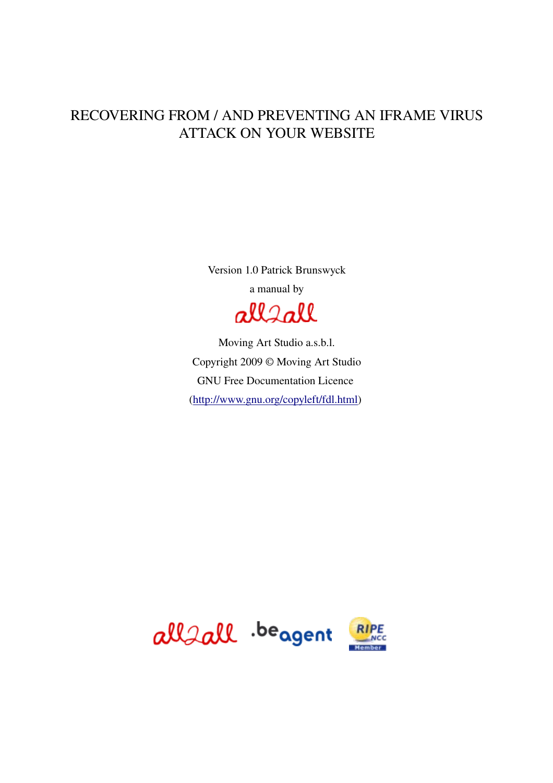### RECOVERING FROM / AND PREVENTING AN IFRAME VIRUS ATTACK ON YOUR WEBSITE

Version 1.0 Patrick Brunswyck a manual by

allsall

Moving Art Studio a.s.b.l. Copyright 2009 © Moving Art Studio GNU Free Documentation Licence [\(http://www.gnu.org/copyleft/fdl.html\)](http://www.gnu.org/copyleft/fdl.html)

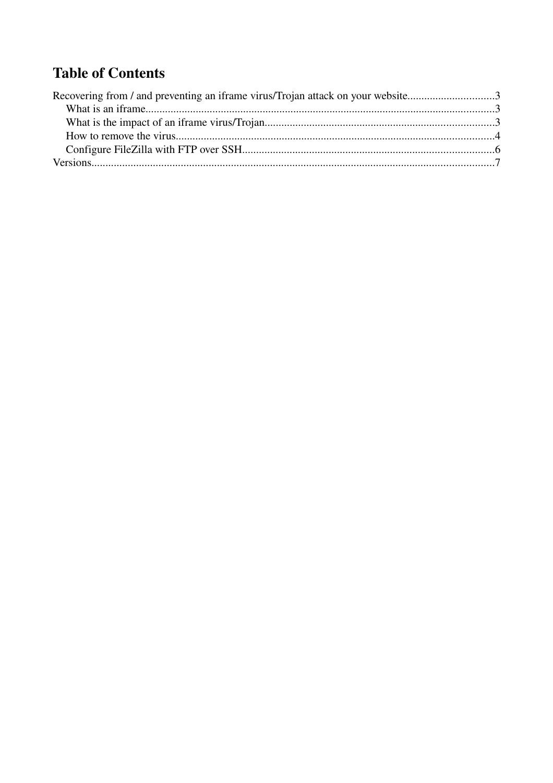## **Table of Contents**

| Recovering from / and preventing an iframe virus/Trojan attack on your website3 |  |
|---------------------------------------------------------------------------------|--|
|                                                                                 |  |
|                                                                                 |  |
|                                                                                 |  |
|                                                                                 |  |
|                                                                                 |  |
|                                                                                 |  |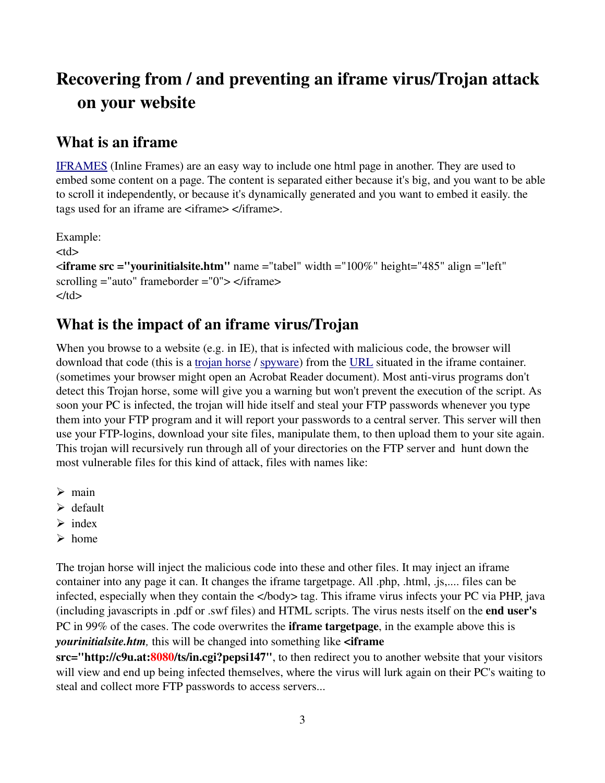### Recovering from / and preventing an iframe virus/Trojan attack on your website

#### What is an iframe

[IFRAMES](http://www.html-faq.com/htmlframes/?iframe) (Inline Frames) are an easy way to include one html page in another. They are used to embed some content on a page. The content is separated either because it's big, and you want to be able to scroll it independently, or because it's dynamically generated and you want to embed it easily. the tags used for an iframe are <iframe> </iframe>.

Example:  $<$ td $>$  $\langle$  = "yourinitialsite.htm" name = "tabel" width = "100%" height="485" align = "left" scrolling  $=$ "auto" frameborder  $=$ "0">  $\lt$ /iframe>  $\langle t \, \mathrm{d} \rangle$ 

#### What is the impact of an iframe virus/Trojan

When you browse to a website (e.g. in IE), that is infected with malicious code, the browser will download that code (this is a [trojan horse](http://en.wikipedia.org/wiki/Trojan_horse_(computing)) / [spyware\)](http://en.wikipedia.org/wiki/Spyware) from the [URL](http://en.wikipedia.org/wiki/URL) situated in the iframe container. (sometimes your browser might open an Acrobat Reader document). Most anti-virus programs don't detect this Trojan horse, some will give you a warning but won't prevent the execution of the script. As soon your PC is infected, the trojan will hide itself and steal your FTP passwords whenever you type them into your FTP program and it will report your passwords to a central server. This server will then use your FTPlogins, download your site files, manipulate them, to then upload them to your site again. This trojan will recursively run through all of your directories on the FTP server and hunt down the most vulnerable files for this kind of attack, files with names like:

- $\triangleright$  main
- ➢ default
- $\triangleright$  index
- ➢ home

The trojan horse will inject the malicious code into these and other files. It may inject an iframe container into any page it can. It changes the iframe targetpage. All .php, .html, .js,.... files can be infected, especially when they contain the </body> tag. This iframe virus infects your PC via PHP, java (including javascripts in .pdf or .swf files) and HTML scripts. The virus nests itself on the end user's PC in 99% of the cases. The code overwrites the **iframe targetpage**, in the example above this is *yourinitialsite.htm*, this will be changed into something like <iframe

src="http://c9u.at:8080/ts/in.cgi?pepsi147", to then redirect you to another website that your visitors will view and end up being infected themselves, where the virus will lurk again on their PC's waiting to steal and collect more FTP passwords to access servers...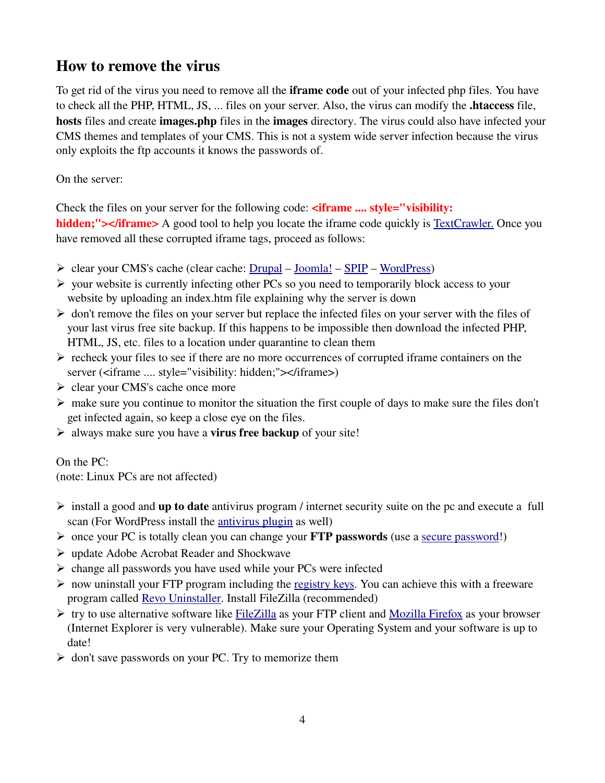#### How to remove the virus

To get rid of the virus you need to remove all the **iframe code** out of your infected php files. You have to check all the PHP, HTML, JS, ... files on your server. Also, the virus can modify the .htaccess file, hosts files and create images.php files in the images directory. The virus could also have infected your CMS themes and templates of your CMS. This is not a system wide server infection because the virus only exploits the ftp accounts it knows the passwords of.

On the server:

Check the files on your server for the following code:  $\langle$  if rame .... style="visibility:

hidden;"></iframe> A good tool to help you locate the iframe code quickly is [TextCrawler.](http://www.digitalvolcano.co.uk/content/textcrawler) Once you have removed all these corrupted iframe tags, proceed as follows:

- $\triangleright$  clear your CMS's cache (clear cache: [Drupal](http://www.maxi-pedia.com/how+to+delete+or+clear+Drupal+cache+tables) – [Joomla!](http://kb.siteground.com/article/How_to_clean_the_cache_in_Joomla_15.html) – [SPIP](http://www.spip.net/en_article2144.html) – [WordPress\)](http://codex.wordpress.org/Function_Reference/WP_Cache)
- ➢ your website is currently infecting other PCs so you need to temporarily block access to your website by uploading an index.htm file explaining why the server is down
- $\triangleright$  don't remove the files on your server but replace the infected files on your server with the files of your last virus free site backup. If this happens to be impossible then download the infected PHP, HTML, JS, etc. files to a location under quarantine to clean them
- $\triangleright$  recheck your files to see if there are no more occurrences of corrupted iframe containers on the server (<iframe .... style="visibility: hidden;"></iframe>)
- ➢ clear your CMS's cache once more
- $\triangleright$  make sure you continue to monitor the situation the first couple of days to make sure the files don't get infected again, so keep a close eye on the files.
- $\triangleright$  always make sure you have a **virus free backup** of your site!

On the PC:

(note: Linux PCs are not affected)

- $\triangleright$  install a good and **up to date** antivirus program / internet security suite on the pc and execute a full scan (For WordPress install the [antivirus plugin](http://wordpress.org/extend/plugins/antivirus/installation/) as well)
- ➢ once your PC is totally clean you can change your FTP passwords (use a [secure password!](http://www.all2all.org/files/pdfs/securepasswords.pdf))
- ➢ update Adobe Acrobat Reader and Shockwave
- ➢ change all passwords you have used while your PCs were infected
- $\triangleright$  now uninstall your FTP program including the [registry keys.](http://en.wikipedia.org/wiki/Registry_keys) You can achieve this with a freeware program called [Revo Uninstaller.](http://www.revouninstaller.com/revo_uninstaller_free_download.html) Install FileZilla (recommended)
- $\triangleright$  try to use alternative software like [FileZilla](http://filezilla-project.org/) as your FTP client and [Mozilla Firefox](http://www.mozilla-europe.org/en/) as your browser (Internet Explorer is very vulnerable). Make sure your Operating System and your software is up to date!
- $\triangleright$  don't save passwords on your PC. Try to memorize them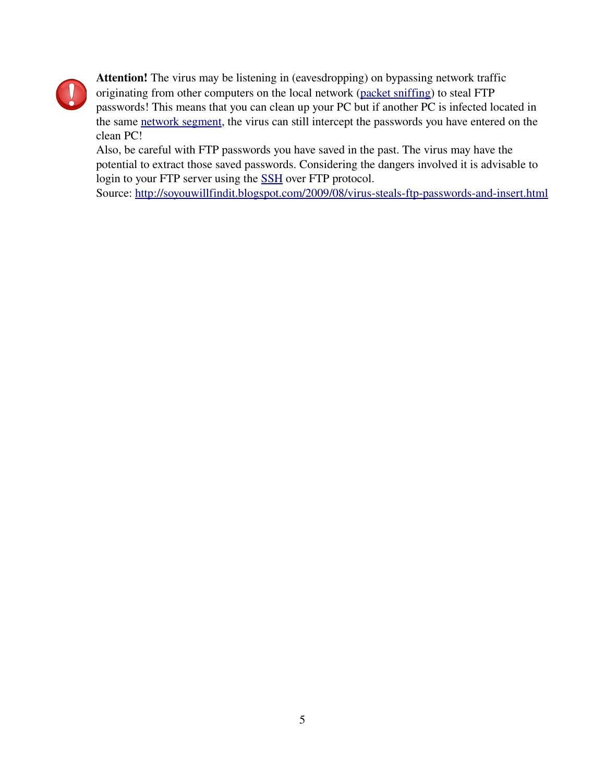

Attention! The virus may be listening in (eavesdropping) on bypassing network traffic originating from other computers on the local network [\(packet sniffing\)](http://en.wikipedia.org/wiki/Packet_sniffer) to steal FTP passwords! This means that you can clean up your PC but if another PC is infected located in the same [network segment,](http://en.wikipedia.org/wiki/Network_segment) the virus can still intercept the passwords you have entered on the clean PC!

Also, be careful with FTP passwords you have saved in the past. The virus may have the potential to extract those saved passwords. Considering the dangers involved it is advisable to login to your FTP server using the [SSH](http://en.wikipedia.org/wiki/Secure_Shell) over FTP protocol.

Source: http://soyouwillfindit.blogspot.com/2009/08/virus-steals-ftp-passwords-and-insert.html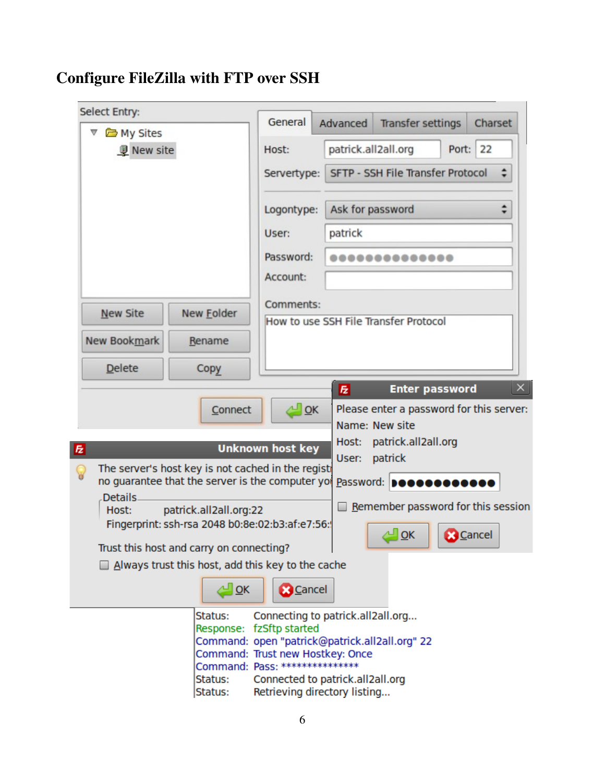# Configure FileZilla with FTP over SSH

| Select Entry:       |                                                                                                       | General                                                                            | Advanced            | <b>Transfer settings</b>                                   |                 | Charset |
|---------------------|-------------------------------------------------------------------------------------------------------|------------------------------------------------------------------------------------|---------------------|------------------------------------------------------------|-----------------|---------|
| My Sites            |                                                                                                       |                                                                                    |                     |                                                            |                 |         |
| <b>V</b> New site   |                                                                                                       | Host:                                                                              | patrick.all2all.org |                                                            | Port: 22        |         |
|                     |                                                                                                       | Servertype:                                                                        |                     | SFTP - SSH File Transfer Protocol                          |                 |         |
|                     |                                                                                                       | Logontype:                                                                         | Ask for password    |                                                            |                 | $\div$  |
|                     |                                                                                                       | User:                                                                              | patrick             |                                                            |                 |         |
|                     |                                                                                                       | Password:                                                                          |                     |                                                            |                 |         |
|                     |                                                                                                       | Account:                                                                           |                     |                                                            |                 |         |
| <b>New Site</b>     | New <b>Folder</b>                                                                                     | Comments:                                                                          |                     | How to use SSH File Transfer Protocol                      |                 |         |
| <b>New Bookmark</b> | Rename                                                                                                |                                                                                    |                     |                                                            |                 |         |
| <b>Delete</b>       | Copy                                                                                                  |                                                                                    |                     |                                                            |                 |         |
|                     |                                                                                                       |                                                                                    | $\overline{z}$      | <b>Enter password</b>                                      |                 |         |
|                     | Connect                                                                                               | $\sim$ OK                                                                          |                     | Please enter a password for this server:<br>Name: New site |                 |         |
|                     |                                                                                                       |                                                                                    | Host:               | patrick.all2all.org                                        |                 |         |
| 园                   |                                                                                                       | <b>Unknown host key</b>                                                            | User:               | patrick                                                    |                 |         |
| ဝူ                  | The server's host key is not cached in the regist<br>no guarantee that the server is the computer yor |                                                                                    |                     | Password: <b>Deeseeseese</b>                               |                 |         |
| Details.            |                                                                                                       |                                                                                    |                     | Remember password for this session                         |                 |         |
| Host:               | patrick.all2all.org:22<br>Fingerprint: ssh-rsa 2048 b0:8e:02:b3:af:e7:56:                             |                                                                                    |                     |                                                            |                 |         |
|                     |                                                                                                       |                                                                                    |                     | QK                                                         | <b>B</b> Cancel |         |
|                     | Trust this host and carry on connecting?<br>Always trust this host, add this key to the cache         |                                                                                    |                     |                                                            |                 |         |
|                     |                                                                                                       |                                                                                    |                     |                                                            |                 |         |
|                     |                                                                                                       |                                                                                    |                     |                                                            |                 |         |
|                     | $\triangleq$ OK                                                                                       | <b>B</b> Cancel                                                                    |                     |                                                            |                 |         |
|                     | Status:                                                                                               | Connecting to patrick.all2all.org                                                  |                     |                                                            |                 |         |
|                     |                                                                                                       | Response: fzSftp started                                                           |                     |                                                            |                 |         |
|                     |                                                                                                       | Command: open "patrick@patrick.all2all.org" 22<br>Command: Trust new Hostkey: Once |                     |                                                            |                 |         |
|                     | Status:                                                                                               | Command: Pass: ****************<br>Connected to patrick.all2all.org                |                     |                                                            |                 |         |